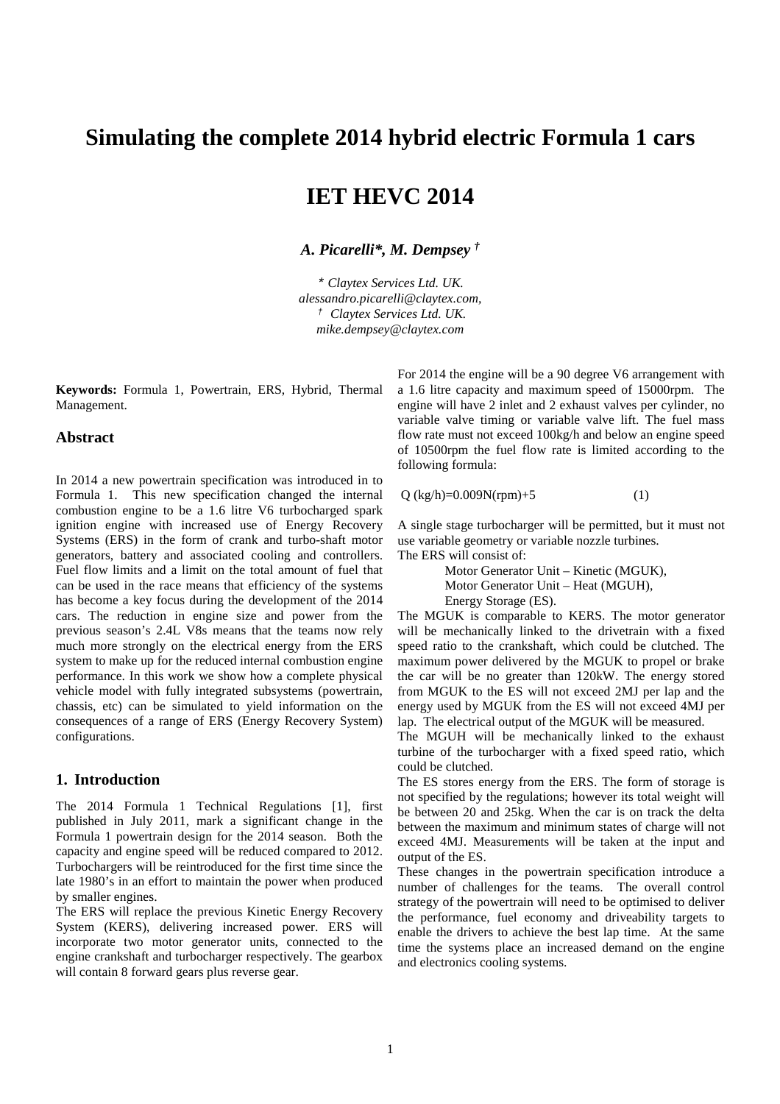## **Simulating the complete 2014 hybrid electric Formula 1 cars**

# **IET HEVC 2014**

*A. Picarelli\*, M. Dempsey †*

\* *Claytex Services Ltd. UK. alessandro.picarelli@claytex.com,*  † *Claytex Services Ltd. UK. mike.dempsey@claytex.com*

**Keywords:** Formula 1, Powertrain, ERS, Hybrid, Thermal Management.

#### **Abstract**

In 2014 a new powertrain specification was introduced in to Formula 1. This new specification changed the internal combustion engine to be a 1.6 litre V6 turbocharged spark ignition engine with increased use of Energy Recovery Systems (ERS) in the form of crank and turbo-shaft motor generators, battery and associated cooling and controllers. Fuel flow limits and a limit on the total amount of fuel that can be used in the race means that efficiency of the systems has become a key focus during the development of the 2014 cars. The reduction in engine size and power from the previous season's 2.4L V8s means that the teams now rely much more strongly on the electrical energy from the ERS system to make up for the reduced internal combustion engine performance. In this work we show how a complete physical vehicle model with fully integrated subsystems (powertrain, chassis, etc) can be simulated to yield information on the consequences of a range of ERS (Energy Recovery System) configurations.

### **1. Introduction**

The 2014 Formula 1 Technical Regulations [1], first published in July 2011, mark a significant change in the Formula 1 powertrain design for the 2014 season. Both the capacity and engine speed will be reduced compared to 2012. Turbochargers will be reintroduced for the first time since the late 1980's in an effort to maintain the power when produced by smaller engines.

The ERS will replace the previous Kinetic Energy Recovery System (KERS), delivering increased power. ERS will incorporate two motor generator units, connected to the engine crankshaft and turbocharger respectively. The gearbox will contain 8 forward gears plus reverse gear.

For 2014 the engine will be a 90 degree V6 arrangement with a 1.6 litre capacity and maximum speed of 15000rpm. The engine will have 2 inlet and 2 exhaust valves per cylinder, no variable valve timing or variable valve lift. The fuel mass flow rate must not exceed 100kg/h and below an engine speed of 10500rpm the fuel flow rate is limited according to the following formula:

 $Q$  (kg/h)=0.009N(rpm)+5 (1)

A single stage turbocharger will be permitted, but it must not use variable geometry or variable nozzle turbines. The ERS will consist of:

> Motor Generator Unit – Kinetic (MGUK), Motor Generator Unit – Heat (MGUH), Energy Storage (ES).

The MGUK is comparable to KERS. The motor generator will be mechanically linked to the drivetrain with a fixed speed ratio to the crankshaft, which could be clutched. The maximum power delivered by the MGUK to propel or brake the car will be no greater than 120kW. The energy stored from MGUK to the ES will not exceed 2MJ per lap and the energy used by MGUK from the ES will not exceed 4MJ per lap. The electrical output of the MGUK will be measured.

The MGUH will be mechanically linked to the exhaust turbine of the turbocharger with a fixed speed ratio, which could be clutched.

The ES stores energy from the ERS. The form of storage is not specified by the regulations; however its total weight will be between 20 and 25kg. When the car is on track the delta between the maximum and minimum states of charge will not exceed 4MJ. Measurements will be taken at the input and output of the ES.

These changes in the powertrain specification introduce a number of challenges for the teams. The overall control strategy of the powertrain will need to be optimised to deliver the performance, fuel economy and driveability targets to enable the drivers to achieve the best lap time. At the same time the systems place an increased demand on the engine and electronics cooling systems.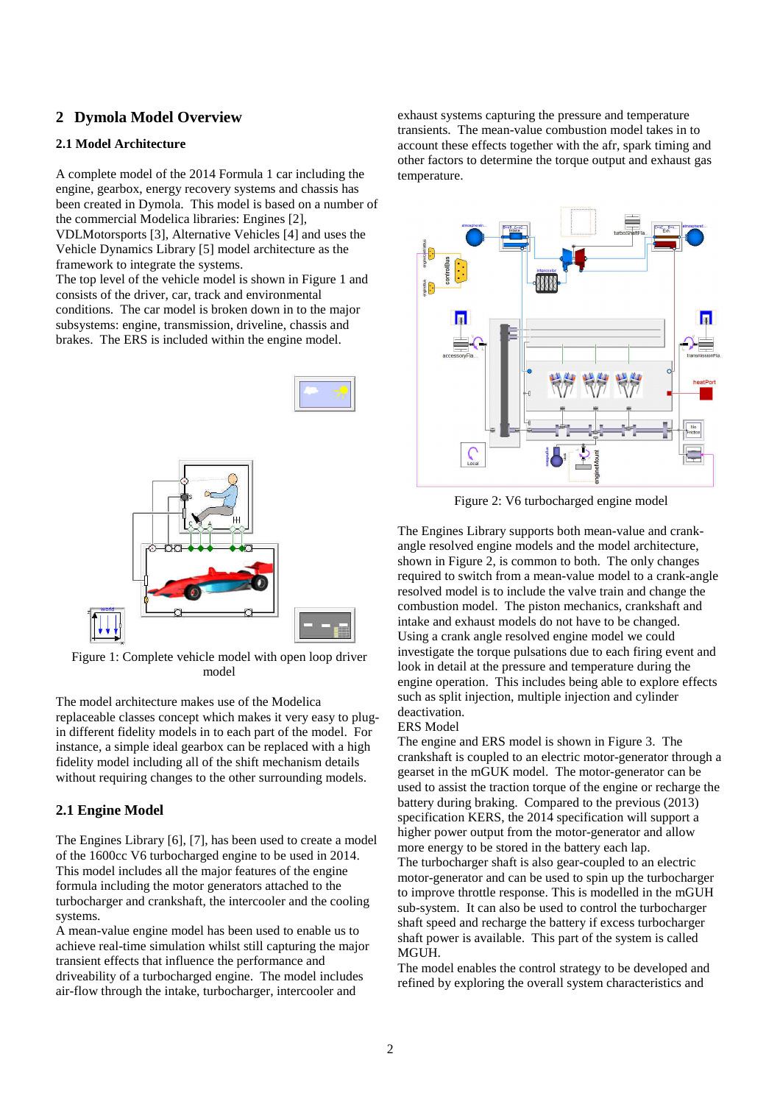## **2 Dymola Model Overview**

### **2.1 Model Architecture**

A complete model of the 2014 Formula 1 car including the engine, gearbox, energy recovery systems and chassis has been created in Dymola. This model is based on a number of the commercial Modelica libraries: Engines [2], VDLMotorsports [3], Alternative Vehicles [4] and uses the

Vehicle Dynamics Library [5] model architecture as the framework to integrate the systems.

The top level of the vehicle model is shown in Figure 1 and consists of the driver, car, track and environmental conditions. The car model is broken down in to the major subsystems: engine, transmission, driveline, chassis and brakes. The ERS is included within the engine model.



Figure 1: Complete vehicle model with open loop driver model

The model architecture makes use of the Modelica replaceable classes concept which makes it very easy to plugin different fidelity models in to each part of the model. For instance, a simple ideal gearbox can be replaced with a high fidelity model including all of the shift mechanism details without requiring changes to the other surrounding models.

### **2.1 Engine Model**

The Engines Library [6], [7], has been used to create a model of the 1600cc V6 turbocharged engine to be used in 2014. This model includes all the major features of the engine formula including the motor generators attached to the turbocharger and crankshaft, the intercooler and the cooling systems.

A mean-value engine model has been used to enable us to achieve real-time simulation whilst still capturing the major transient effects that influence the performance and driveability of a turbocharged engine. The model includes air-flow through the intake, turbocharger, intercooler and

exhaust systems capturing the pressure and temperature transients. The mean-value combustion model takes in to account these effects together with the afr, spark timing and other factors to determine the torque output and exhaust gas temperature.



Figure 2: V6 turbocharged engine model

The Engines Library supports both mean-value and crankangle resolved engine models and the model architecture, shown in Figure 2, is common to both. The only changes required to switch from a mean-value model to a crank-angle resolved model is to include the valve train and change the combustion model. The piston mechanics, crankshaft and intake and exhaust models do not have to be changed. Using a crank angle resolved engine model we could investigate the torque pulsations due to each firing event and look in detail at the pressure and temperature during the engine operation. This includes being able to explore effects such as split injection, multiple injection and cylinder deactivation.

ERS Model

The engine and ERS model is shown in Figure 3. The crankshaft is coupled to an electric motor-generator through a gearset in the mGUK model. The motor-generator can be used to assist the traction torque of the engine or recharge the battery during braking. Compared to the previous (2013) specification KERS, the 2014 specification will support a higher power output from the motor-generator and allow more energy to be stored in the battery each lap. The turbocharger shaft is also gear-coupled to an electric motor-generator and can be used to spin up the turbocharger to improve throttle response. This is modelled in the mGUH sub-system. It can also be used to control the turbocharger shaft speed and recharge the battery if excess turbocharger shaft power is available. This part of the system is called MGUH.

The model enables the control strategy to be developed and refined by exploring the overall system characteristics and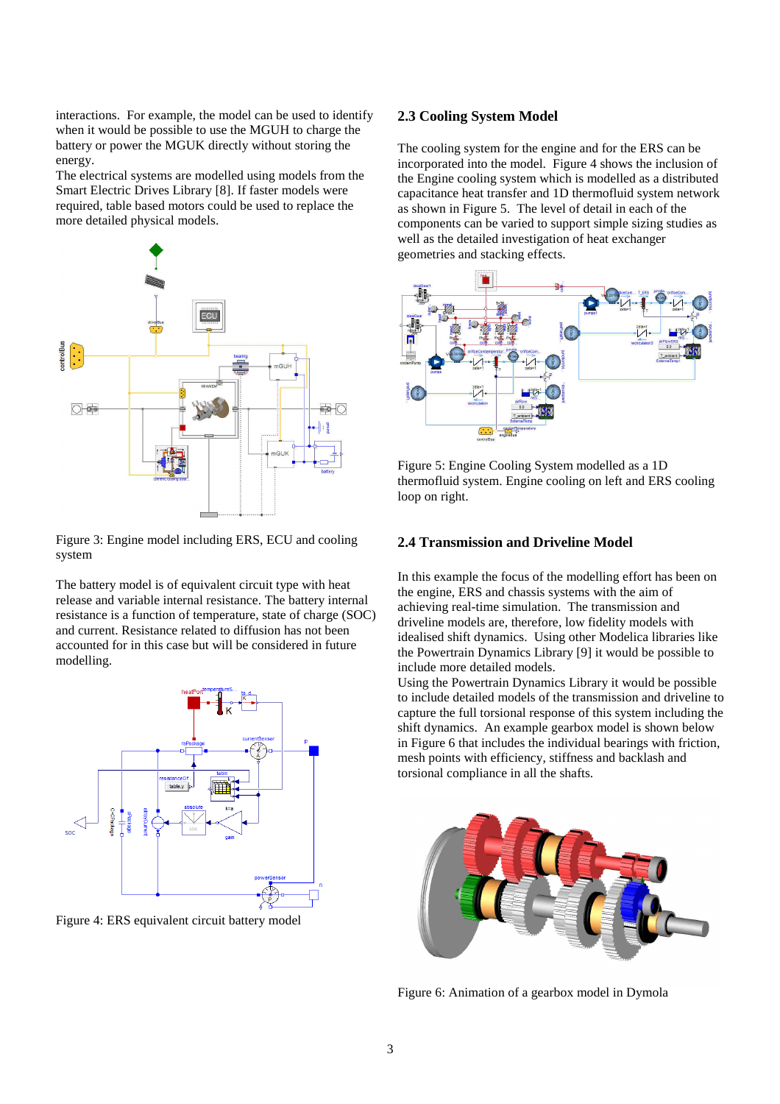interactions. For example, the model can be used to identify when it would be possible to use the MGUH to charge the battery or power the MGUK directly without storing the energy.

The electrical systems are modelled using models from the Smart Electric Drives Library [8]. If faster models were required, table based motors could be used to replace the more detailed physical models.



Figure 3: Engine model including ERS, ECU and cooling system

The battery model is of equivalent circuit type with heat release and variable internal resistance. The battery internal resistance is a function of temperature, state of charge (SOC) and current. Resistance related to diffusion has not been accounted for in this case but will be considered in future modelling.



Figure 4: ERS equivalent circuit battery model

### **2.3 Cooling System Model**

The cooling system for the engine and for the ERS can be incorporated into the model. Figure 4 shows the inclusion of the Engine cooling system which is modelled as a distributed capacitance heat transfer and 1D thermofluid system network as shown in Figure 5. The level of detail in each of the components can be varied to support simple sizing studies as well as the detailed investigation of heat exchanger geometries and stacking effects.



Figure 5: Engine Cooling System modelled as a 1D thermofluid system. Engine cooling on left and ERS cooling loop on right.

### **2.4 Transmission and Driveline Model**

In this example the focus of the modelling effort has been on the engine, ERS and chassis systems with the aim of achieving real-time simulation. The transmission and driveline models are, therefore, low fidelity models with idealised shift dynamics. Using other Modelica libraries like the Powertrain Dynamics Library [9] it would be possible to include more detailed models.

Using the Powertrain Dynamics Library it would be possible to include detailed models of the transmission and driveline to capture the full torsional response of this system including the shift dynamics. An example gearbox model is shown below in Figure 6 that includes the individual bearings with friction, mesh points with efficiency, stiffness and backlash and torsional compliance in all the shafts.



Figure 6: Animation of a gearbox model in Dymola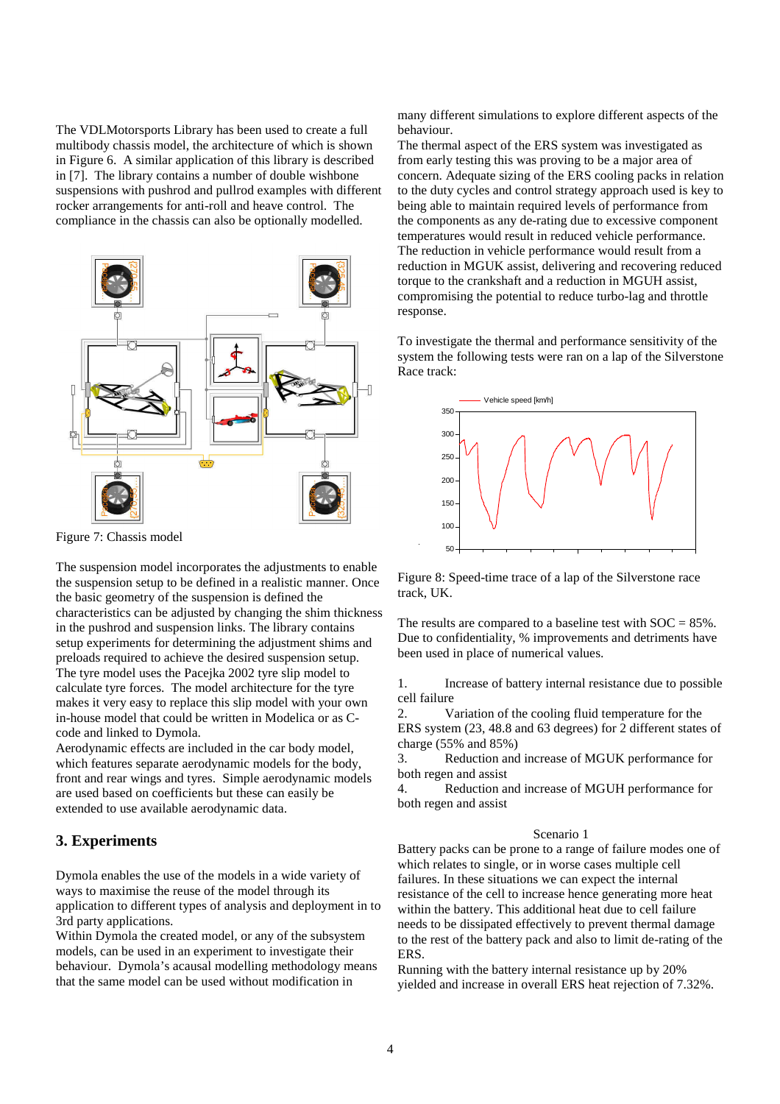The VDLMotorsports Library has been used to create a full multibody chassis model, the architecture of which is shown in Figure 6. A similar application of this library is described in [7]. The library contains a number of double wishbone suspensions with pushrod and pullrod examples with different rocker arrangements for anti-roll and heave control. The compliance in the chassis can also be optionally modelled.



Figure 7: Chassis model

The suspension model incorporates the adjustments to enable the suspension setup to be defined in a realistic manner. Once the basic geometry of the suspension is defined the characteristics can be adjusted by changing the shim thickness in the pushrod and suspension links. The library contains setup experiments for determining the adjustment shims and preloads required to achieve the desired suspension setup. The tyre model uses the Pacejka 2002 tyre slip model to calculate tyre forces. The model architecture for the tyre makes it very easy to replace this slip model with your own in-house model that could be written in Modelica or as Ccode and linked to Dymola.

Aerodynamic effects are included in the car body model, which features separate aerodynamic models for the body, front and rear wings and tyres. Simple aerodynamic models are used based on coefficients but these can easily be extended to use available aerodynamic data.

### **3. Experiments**

Dymola enables the use of the models in a wide variety of ways to maximise the reuse of the model through its application to different types of analysis and deployment in to 3rd party applications.

Within Dymola the created model, or any of the subsystem models, can be used in an experiment to investigate their behaviour. Dymola's acausal modelling methodology means that the same model can be used without modification in

many different simulations to explore different aspects of the behaviour.

The thermal aspect of the ERS system was investigated as from early testing this was proving to be a major area of concern. Adequate sizing of the ERS cooling packs in relation to the duty cycles and control strategy approach used is key to being able to maintain required levels of performance from the components as any de-rating due to excessive component temperatures would result in reduced vehicle performance. The reduction in vehicle performance would result from a reduction in MGUK assist, delivering and recovering reduced torque to the crankshaft and a reduction in MGUH assist, compromising the potential to reduce turbo-lag and throttle response.

To investigate the thermal and performance sensitivity of the system the following tests were ran on a lap of the Silverstone Race track:



Figure 8: Speed-time trace of a lap of the Silverstone race track, UK.

The results are compared to a baseline test with  $SOC = 85\%$ . Due to confidentiality, % improvements and detriments have been used in place of numerical values.

1. Increase of battery internal resistance due to possible cell failure

2. Variation of the cooling fluid temperature for the ERS system (23, 48.8 and 63 degrees) for 2 different states of charge (55% and 85%)

3. Reduction and increase of MGUK performance for both regen and assist

4. Reduction and increase of MGUH performance for both regen and assist

#### Scenario 1

Battery packs can be prone to a range of failure modes one of which relates to single, or in worse cases multiple cell failures. In these situations we can expect the internal resistance of the cell to increase hence generating more heat within the battery. This additional heat due to cell failure needs to be dissipated effectively to prevent thermal damage to the rest of the battery pack and also to limit de-rating of the ERS.

Running with the battery internal resistance up by 20% yielded and increase in overall ERS heat rejection of 7.32%.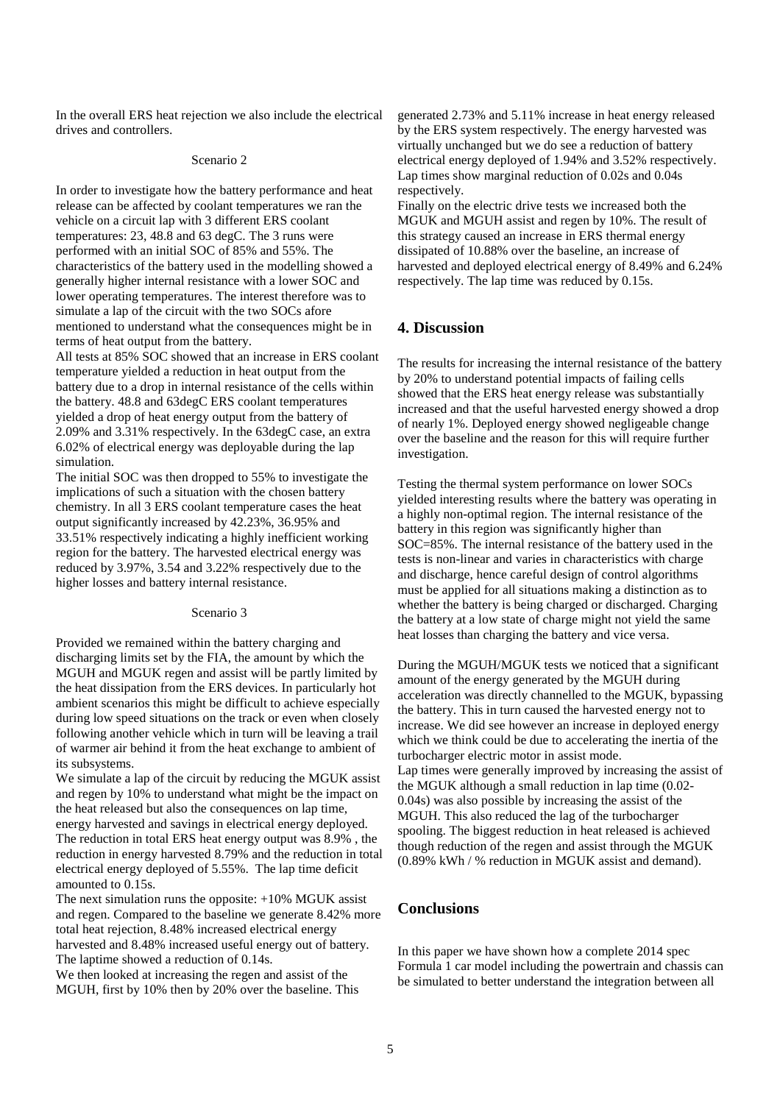In the overall ERS heat rejection we also include the electrical drives and controllers.

#### Scenario 2

In order to investigate how the battery performance and heat release can be affected by coolant temperatures we ran the vehicle on a circuit lap with 3 different ERS coolant temperatures: 23, 48.8 and 63 degC. The 3 runs were performed with an initial SOC of 85% and 55%. The characteristics of the battery used in the modelling showed a generally higher internal resistance with a lower SOC and lower operating temperatures. The interest therefore was to simulate a lap of the circuit with the two SOCs afore mentioned to understand what the consequences might be in terms of heat output from the battery.

All tests at 85% SOC showed that an increase in ERS coolant temperature yielded a reduction in heat output from the battery due to a drop in internal resistance of the cells within the battery. 48.8 and 63degC ERS coolant temperatures yielded a drop of heat energy output from the battery of 2.09% and 3.31% respectively. In the 63degC case, an extra 6.02% of electrical energy was deployable during the lap simulation.

The initial SOC was then dropped to 55% to investigate the implications of such a situation with the chosen battery chemistry. In all 3 ERS coolant temperature cases the heat output significantly increased by 42.23%, 36.95% and 33.51% respectively indicating a highly inefficient working region for the battery. The harvested electrical energy was reduced by 3.97%, 3.54 and 3.22% respectively due to the higher losses and battery internal resistance.

#### Scenario 3

Provided we remained within the battery charging and discharging limits set by the FIA, the amount by which the MGUH and MGUK regen and assist will be partly limited by the heat dissipation from the ERS devices. In particularly hot ambient scenarios this might be difficult to achieve especially during low speed situations on the track or even when closely following another vehicle which in turn will be leaving a trail of warmer air behind it from the heat exchange to ambient of its subsystems.

We simulate a lap of the circuit by reducing the MGUK assist and regen by 10% to understand what might be the impact on the heat released but also the consequences on lap time, energy harvested and savings in electrical energy deployed. The reduction in total ERS heat energy output was 8.9% , the reduction in energy harvested 8.79% and the reduction in total electrical energy deployed of 5.55%. The lap time deficit amounted to 0.15s.

The next simulation runs the opposite:  $+10\%$  MGUK assist and regen. Compared to the baseline we generate 8.42% more total heat rejection, 8.48% increased electrical energy harvested and 8.48% increased useful energy out of battery. The laptime showed a reduction of 0.14s.

We then looked at increasing the regen and assist of the MGUH, first by 10% then by 20% over the baseline. This generated 2.73% and 5.11% increase in heat energy released by the ERS system respectively. The energy harvested was virtually unchanged but we do see a reduction of battery electrical energy deployed of 1.94% and 3.52% respectively. Lap times show marginal reduction of 0.02s and 0.04s respectively.

Finally on the electric drive tests we increased both the MGUK and MGUH assist and regen by 10%. The result of this strategy caused an increase in ERS thermal energy dissipated of 10.88% over the baseline, an increase of harvested and deployed electrical energy of 8.49% and 6.24% respectively. The lap time was reduced by 0.15s.

### **4. Discussion**

The results for increasing the internal resistance of the battery by 20% to understand potential impacts of failing cells showed that the ERS heat energy release was substantially increased and that the useful harvested energy showed a drop of nearly 1%. Deployed energy showed negligeable change over the baseline and the reason for this will require further investigation.

Testing the thermal system performance on lower SOCs yielded interesting results where the battery was operating in a highly non-optimal region. The internal resistance of the battery in this region was significantly higher than SOC=85%. The internal resistance of the battery used in the tests is non-linear and varies in characteristics with charge and discharge, hence careful design of control algorithms must be applied for all situations making a distinction as to whether the battery is being charged or discharged. Charging the battery at a low state of charge might not yield the same heat losses than charging the battery and vice versa.

During the MGUH/MGUK tests we noticed that a significant amount of the energy generated by the MGUH during acceleration was directly channelled to the MGUK, bypassing the battery. This in turn caused the harvested energy not to increase. We did see however an increase in deployed energy which we think could be due to accelerating the inertia of the turbocharger electric motor in assist mode. Lap times were generally improved by increasing the assist of the MGUK although a small reduction in lap time (0.02- 0.04s) was also possible by increasing the assist of the MGUH. This also reduced the lag of the turbocharger spooling. The biggest reduction in heat released is achieved though reduction of the regen and assist through the MGUK (0.89% kWh / % reduction in MGUK assist and demand).

### **Conclusions**

In this paper we have shown how a complete 2014 spec Formula 1 car model including the powertrain and chassis can be simulated to better understand the integration between all